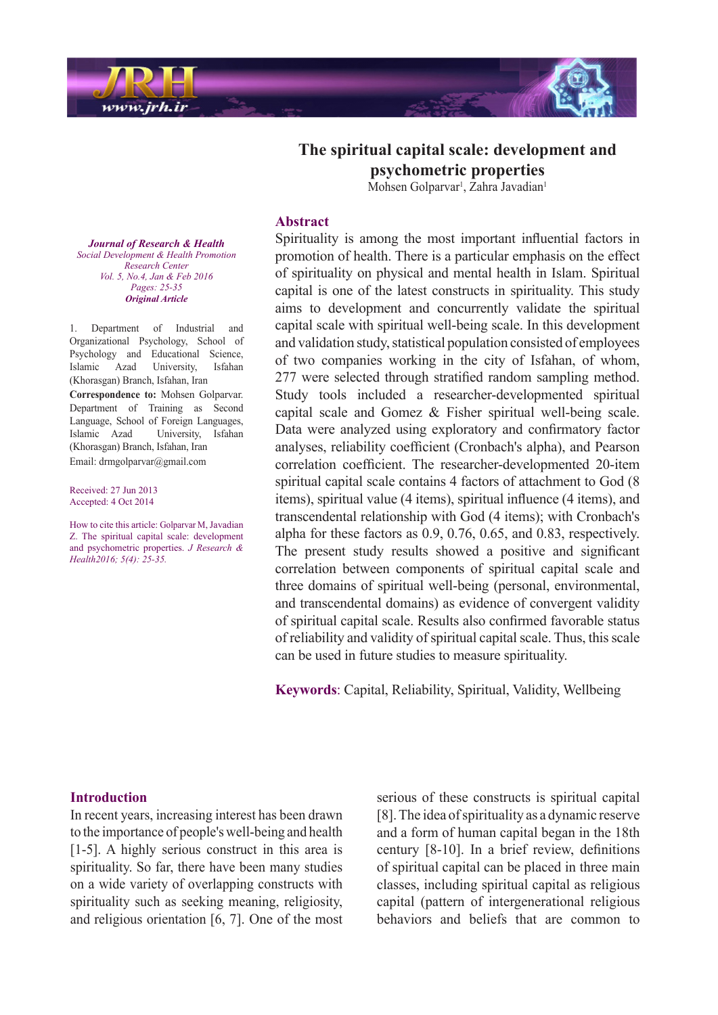

The spiritual capital scale: development and **properties psychometric** Mohsen Golparvar<sup>1</sup>, Zahra Javadian<sup>1</sup>

#### **Abstract**

Spirituality is among the most important influential factors in promotion of health. There is a particular emphasis on the effect of spirituality on physical and mental health in Islam. Spiritual capital is one of the latest constructs in spirituality. This study aims to development and concurrently validate the spiritual capital scale with spiritual well-being scale. In this development and validation study, statistical population consisted of employees of two companies working in the city of Isfahan, of whom, 277 were selected through stratified random sampling method. Study tools included a researcher-developmented spiritual capital scale and Gomez  $&$  Fisher spiritual well-being scale. Data were analyzed using exploratory and confirmatory factor analyses, reliability coefficient (Cronbach's alpha), and Pearson correlation coefficient. The researcher-developmented 20-item spiritual capital scale contains 4 factors of attachment to God (8) items), spiritual value (4 items), spiritual influence (4 items), and transcendental relationship with God (4 items); with Cronbach's alpha for these factors as  $0.9, 0.76, 0.65,$  and  $0.83$ , respectively. The present study results showed a positive and significant correlation between components of spiritual capital scale and three domains of spiritual well-being (personal, environmental, and transcendental domains) as evidence of convergent validity of spiritual capital scale. Results also confirmed favorable status of reliability and validity of spiritual capital scale. Thus, this scale can be used in future studies to measure spirituality.

Keywords: Capital, Reliability, Spiritual, Validity, Wellbeing

**Journal of Research & Health** *Social Development & Health Promotion Center Research Vol.* 5, No.4, Jan & Feb 2016 *Pages*: 25-35 *Article Original*

1. Department of Industrial and Organizational Psychology, School of Psychology and Educational Science, Islamic Azad University, Isfahan (Khorasgan) Branch, Isfahan, Iran **Correspondence to:** Mohsen Golparvar. Department of Training as Second Language, School of Foreign Languages, Islamic Azad University, Isfahan (Khorasgan) Branch, Isfahan, Iran Email: drmgolparvar@gmail.com

Received: 27 Jun 2013 Accepted: 4 Oct 2014

How to cite this article: Golparvar M, Javadian Z. The spiritual capital scale: development and psychometric properties. *J Research & Health2016*; 5(4): 25-35.

#### **Introduction**

In recent years, increasing interest has been drawn to the importance of people's well-being and health [1-5]. A highly serious construct in this area is spirituality. So far, there have been many studies on a wide variety of overlapping constructs with spirituality such as seeking meaning, religiosity, and religious orientation  $[6, 7]$ . One of the most serious of these constructs is spiritual capital  $[8]$ . The idea of spirituality as a dynamic reserve and a form of human capital began in the 18th century  $[8-10]$ . In a brief review, definitions of spiritual capital can be placed in three main classes, including spiritual capital as religious capital (pattern of intergenerational religious behaviors and beliefs that are common to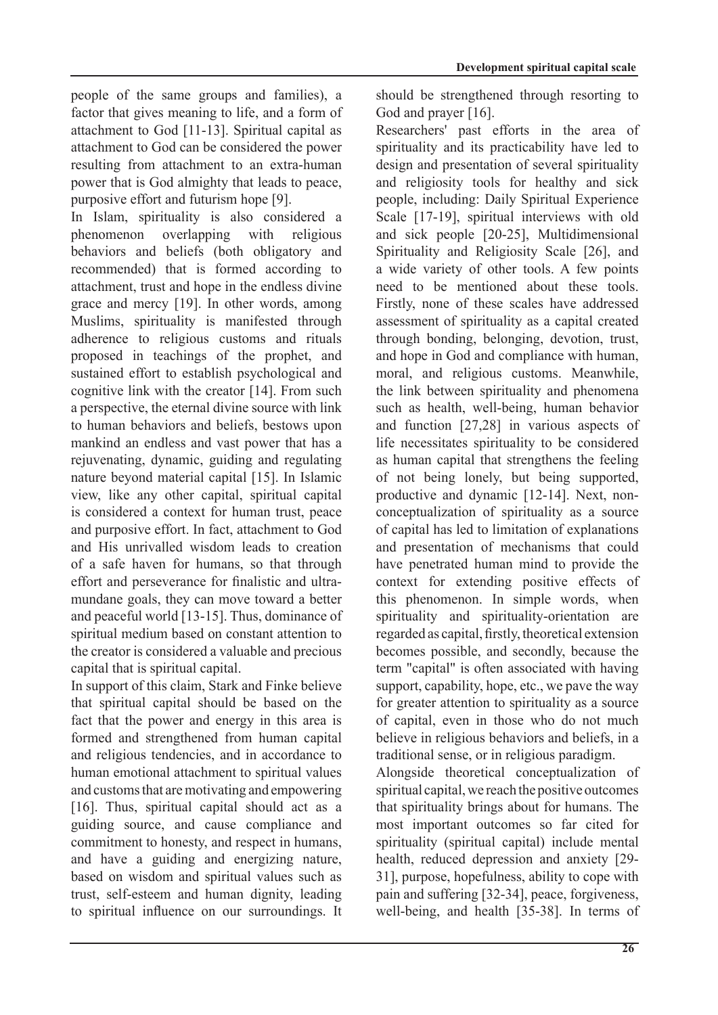people of the same groups and families), a factor that gives meaning to life, and a form of attachment to God  $[11-13]$ . Spiritual capital as attachment to God can be considered the power resulting from attachment to an extra-human power that is God almighty that leads to peace. purposive effort and futurism hope [9].

In Islam, spirituality is also considered a phenomenon overlapping with religious behaviors and beliefs (both obligatory and recommended) that is formed according to attachment, trust and hope in the endless divine grace and mercy [19]. In other words, among Muslims, spirituality is manifested through adherence to religious customs and rituals proposed in teachings of the prophet, and sustained effort to establish psychological and cognitive link with the creator  $[14]$ . From such a perspective, the eternal divine source with link to human behaviors and beliefs, bestows upon mankind an endless and vast power that has a rejuvenating, dynamic, guiding and regulating nature beyond material capital [15]. In Islamic view, like any other capital, spiritual capital is considered a context for human trust, peace and purposive effort. In fact, attachment to God and His unrivalled wisdom leads to creation of a safe haven for humans, so that through mundane goals, they can move toward a better effort and perseverance for finalistic and ultraand peaceful world  $[13-15]$ . Thus, dominance of spiritual medium based on constant attention to the creator is considered a valuable and precious capital that is spiritual capital.

In support of this claim, Stark and Finke believe that spiritual capital should be based on the fact that the power and energy in this area is formed and strengthened from human capital and religious tendencies, and in accordance to human emotional attachment to spiritual values and customs that are motivating and empowering [16]. Thus, spiritual capital should act as a guiding source, and cause compliance and commitment to honesty, and respect in humans, and have a guiding and energizing nature, based on wisdom and spiritual values such as trust, self-esteem and human dignity, leading to spiritual influence on our surroundings. It should be strengthened through resorting to God and prayer  $[16]$ .

Researchers' past efforts in the area of spirituality and its practicability have led to design and presentation of several spirituality and religiosity tools for healthy and sick people, including: Daily Spiritual Experience Scale [17-19], spiritual interviews with old and sick people  $[20-25]$ , Multidimensional Spirituality and Religiosity Scale [26], and a wide variety of other tools. A few points need to be mentioned about these tools. Firstly, none of these scales have addressed assessment of spirituality as a capital created through bonding, belonging, devotion, trust, and hope in God and compliance with human, moral, and religious customs. Meanwhile, the link between spirituality and phenomena such as health, well-being, human behavior and function  $[27,28]$  in various aspects of life necessitates spirituality to be considered as human capital that strengthens the feeling of not being lonely, but being supported, conceptualization of spirituality as a source productive and dynamic  $[12-14]$ . Next, nonof capital has led to limitation of explanations and presentation of mechanisms that could have penetrated human mind to provide the context for extending positive effects of this phenomenon. In simple words, when spirituality and spirituality-orientation are regarded as capital, firstly, theoretical extension becomes possible, and secondly, because the term "capital" is often associated with having support, capability, hope, etc., we pave the way for greater attention to spirituality as a source of capital, even in those who do not much believe in religious behaviors and beliefs, in a traditional sense, or in religious paradigm.

Alongside theoretical conceptualization of spiritual capital, we reach the positive outcomes that spirituality brings about for humans. The most important outcomes so far cited for spirituality (spiritual capital) include mental health, reduced depression and anxiety [29-] 31], purpose, hopefulness, ability to cope with pain and suffering [32-34], peace, forgiveness, well-being, and health [35-38]. In terms of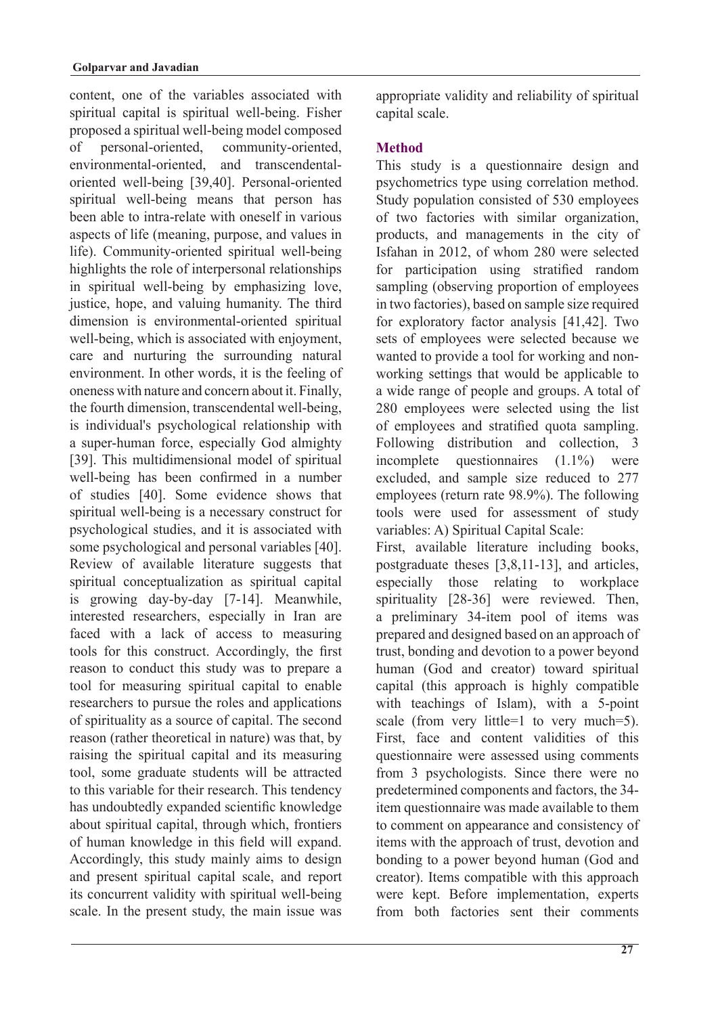content, one of the variables associated with spiritual capital is spiritual well-being. Fisher proposed a spiritual well-being model composed of personal-oriented, community-oriented, oriented well-being [39,40]. Personal-oriented environmental-oriented, and transcendentalspiritual well-being means that person has been able to intra-relate with oneself in various aspects of life (meaning, purpose, and values in life). Community-oriented spiritual well-being highlights the role of interpersonal relationships in spiritual well-being by emphasizing love. justice, hope, and valuing humanity. The third dimension is environmental-oriented spiritual well-being, which is associated with enjoyment, care and nurturing the surrounding natural environment. In other words, it is the feeling of oneness with nature and concern about it. Finally, the fourth dimension, transcendental well-being, is individual's psychological relationship with a super-human force, especially God almighty [39]. This multidimensional model of spiritual well-being has been confirmed in a number of studies [40]. Some evidence shows that spiritual well-being is a necessary construct for psychological studies, and it is associated with some psychological and personal variables [40]. Review of available literature suggests that spiritual conceptualization as spiritual capital is growing day-by-day [7-14]. Meanwhile, interested researchers, especially in Iran are faced with a lack of access to measuring tools for this construct. Accordingly, the first reason to conduct this study was to prepare a tool for measuring spiritual capital to enable researchers to pursue the roles and applications of spirituality as a source of capital. The second reason (rather theoretical in nature) was that, by raising the spiritual capital and its measuring tool, some graduate students will be attracted to this variable for their research. This tendency has undoubtedly expanded scientific knowledge about spiritual capital, through which, frontiers of human knowledge in this field will expand. Accordingly, this study mainly aims to design and present spiritual capital scale, and report its concurrent validity with spiritual well-being scale. In the present study, the main issue was appropriate validity and reliability of spiritual capital scale.

# **Method**

This study is a questionnaire design and psychometrics type using correlation method. Study population consisted of 530 employees of two factories with similar organization, products, and managements in the city of Isfahan in 2012, of whom 280 were selected for participation using stratified random sampling (observing proportion of employees in two factories), based on sample size required for exploratory factor analysis  $[41, 42]$ . Two sets of employees were selected because we working settings that would be applicable to wanted to provide a tool for working and nona wide range of people and groups. A total of 280 employees were selected using the list of employees and stratified quota sampling. Following distribution and collection. 3 incomplete questionnaires  $(1.1\%)$  were excluded, and sample size reduced to 277 employees (return rate  $98.9\%$ ). The following tools were used for assessment of study variables: A) Spiritual Capital Scale:

First, available literature including books, postgraduate theses  $[3,8,11-13]$ , and articles, especially those relating to workplace spirituality [28-36] were reviewed. Then, a preliminary 34-item pool of items was prepared and designed based on an approach of trust, bonding and devotion to a power beyond human (God and creator) toward spiritual capital (this approach is highly compatible with teachings of Islam), with a  $5$ -point scale (from very little=1 to very much=5). First, face and content validities of this questionnaire were assessed using comments from 3 psychologists. Since there were no predetermined components and factors, the 34item questionnaire was made available to them to comment on appearance and consistency of items with the approach of trust, devotion and bonding to a power beyond human (God and creator). Items compatible with this approach were kept. Before implementation, experts from both factories sent their comments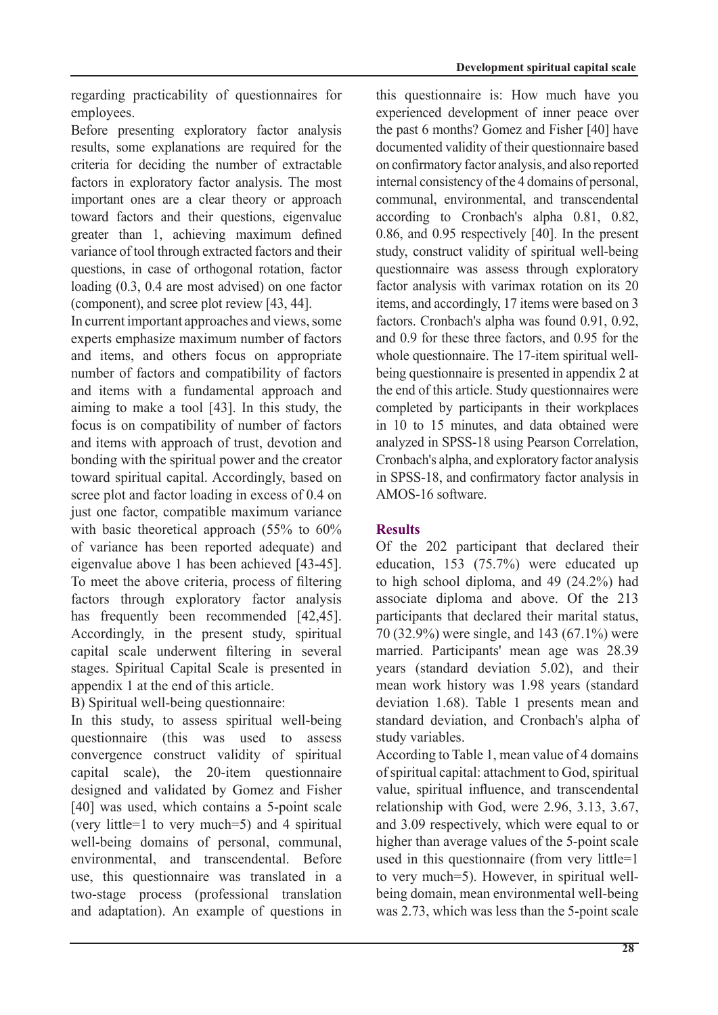regarding practicability of questionnaires for employees.

Before presenting exploratory factor analysis results, some explanations are required for the criteria for deciding the number of extractable factors in exploratory factor analysis. The most important ones are a clear theory or approach toward factors and their questions, eigenvalue greater than 1, achieving maximum defined variance of tool through extracted factors and their questions, in case of orthogonal rotation, factor loading  $(0.3, 0.4$  are most advised) on one factor (component), and scree plot review  $[43, 44]$ .

In current important approaches and views, some experts emphasize maximum number of factors and items, and others focus on appropriate number of factors and compatibility of factors and items with a fundamental approach and aiming to make a tool  $[43]$ . In this study, the focus is on compatibility of number of factors and items with approach of trust, devotion and bonding with the spiritual power and the creator toward spiritual capital. Accordingly, based on scree plot and factor loading in excess of  $0.4$  on just one factor, compatible maximum variance with basic theoretical approach  $(55\%$  to  $60\%$ of variance has been reported adequate) and eigenvalue above 1 has been achieved  $[43-45]$ . To meet the above criteria, process of filtering factors through exploratory factor analysis has frequently been recommended  $[42, 45]$ . Accordingly, in the present study, spiritual capital scale underwent filtering in several stages. Spiritual Capital Scale is presented in appendix 1 at the end of this article.

B) Spiritual well-being questionnaire:

In this study, to assess spiritual well-being questionnaire (this was used to assess convergence construct validity of spiritual capital scale), the  $20$ -item questionnaire designed and validated by Gomez and Fisher  $[40]$  was used, which contains a 5-point scale (very little = 1 to very much = 5) and 4 spiritual well-being domains of personal, communal, environmental, and transcendental. Before use, this questionnaire was translated in a two-stage process (professional translation and adaptation). An example of questions in this questionnaire is: How much have you experienced development of inner peace over the past 6 months? Gomez and Fisher [40] have documented validity of their questionnaire based on confirmatory factor analysis, and also reported internal consistency of the 4 domains of personal. communal, environmental, and transcendental according to Cronbach's alpha  $0.81$ ,  $0.82$ , 0.86, and 0.95 respectively  $[40]$ . In the present study, construct validity of spiritual well-being questionnaire was assess through exploratory factor analysis with varimax rotation on its  $20$ items, and accordingly, 17 items were based on 3 factors. Cronbach's alpha was found  $0.91$ ,  $0.92$ , and  $0.9$  for these three factors, and  $0.95$  for the being questionnaire is presented in appendix 2 at whole questionnaire. The 17-item spiritual wellthe end of this article. Study questionnaires were completed by participants in their workplaces in 10 to 15 minutes, and data obtained were analyzed in SPSS-18 using Pearson Correlation. Cronbach's alpha, and exploratory factor analysis in SPSS-18, and confirmatory factor analysis in AMOS-16 software

# **Results**

Of the 202 participant that declared their education, 153  $(75.7%)$  were educated up to high school diploma, and  $49$   $(24.2\%)$  had associate diploma and above. Of the 213 participants that declared their marital status. 70 (32.9%) were single, and 143 (67.1%) were married. Participants' mean age was 28.39 years (standard deviation  $5.02$ ), and their mean work history was 1.98 years (standard deviation 1.68). Table 1 presents mean and standard deviation, and Cronbach's alpha of study variables.

According to Table 1, mean value of 4 domains of spiritual capital: attachment to God, spiritual value, spiritual influence, and transcendental relationship with God, were  $2.96, 3.13, 3.67$ , and 3.09 respectively, which were equal to or higher than average values of the 5-point scale used in this questionnaire (from very little= $1$ ) being domain, mean environmental well-being to very much=5). However, in spiritual wellwas 2.73, which was less than the 5-point scale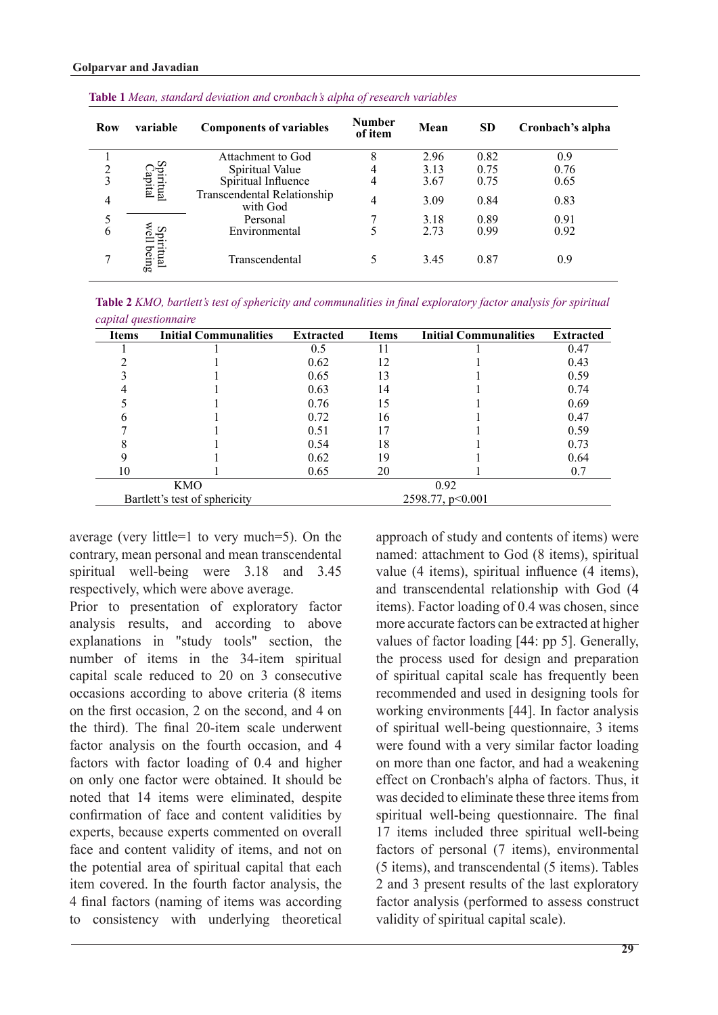| <b>Row</b>     | <b>Components of variables</b><br>variable |                                         | <b>Number</b><br>of item | Mean | <b>SD</b> | Cronbach's alpha |
|----------------|--------------------------------------------|-----------------------------------------|--------------------------|------|-----------|------------------|
|                |                                            | Attachment to God                       | 8                        | 2.96 | 0.82      | 0.9              |
| $\overline{c}$ |                                            | Spiritual Value                         | 4                        | 3.13 | 0.75      | 0.76             |
| 3              |                                            | Spiritual Influence                     | 4                        | 3.67 | 0.75      | 0.65             |
| 4              | spiritual<br>Capital                       | Transcendental Relationship<br>with God | 4                        | 3.09 | 0.84      | 0.83             |
| 5              |                                            | Personal                                |                          | 3.18 | 0.89      | 0.91             |
| 6              | U.                                         | Environmental                           |                          | 2.73 | 0.99      | 0.92             |
| 7              | rutual<br>being                            | Transcendental                          |                          | 3.45 | 0.87      | 0.9              |

*Table 2 KMO, bartlett's test of sphericity and communalities in final exploratory factor analysis for spiritual questionnaire capital*

| <b>Items</b> | <b>Initial Communalities</b>  | <b>Initial Communalities</b><br><b>Extracted</b><br><b>Items</b> |    |      | <b>Extracted</b> |  |
|--------------|-------------------------------|------------------------------------------------------------------|----|------|------------------|--|
|              |                               | 0.5                                                              | 11 |      | 0.47             |  |
|              |                               | 0.62                                                             | 12 |      | 0.43             |  |
|              |                               | 0.65                                                             | 13 |      | 0.59             |  |
|              |                               | 0.63                                                             | 14 |      | 0.74             |  |
|              |                               | 0.76                                                             | 15 |      | 0.69             |  |
|              |                               | 0.72                                                             | 16 |      | 0.47             |  |
|              |                               | 0.51                                                             | 17 |      | 0.59             |  |
|              |                               | 0.54                                                             | 18 |      | 0.73             |  |
|              |                               | 0.62                                                             | 19 |      | 0.64             |  |
| 10           |                               | 0.65                                                             | 20 |      | 0.7              |  |
|              | KMO                           |                                                                  |    | 0.92 |                  |  |
|              | Bartlett's test of sphericity | 2598.77, p<0.001                                                 |    |      |                  |  |

average (very little=1 to very much=5). On the contrary, mean personal and mean transcendental spiritual well-being were  $3.18$  and  $3.45$ respectively, which were above average.

Prior to presentation of exploratory factor analysis results, and according to above explanations in "study tools" section, the number of items in the 34-item spiritual capital scale reduced to  $20$  on  $3$  consecutive occasions according to above criteria (8 items on the first occasion  $\overline{2}$  on the second and 4 on the third). The final 20-item scale underwent factor analysis on the fourth occasion, and 4 factors with factor loading of 0.4 and higher on only one factor were obtained. It should be noted that 14 items were eliminated, despite confirmation of face and content validities by experts, because experts commented on overall face and content validity of items, and not on the potential area of spiritual capital that each item covered. In the fourth factor analysis, the 4 final factors (naming of items was according to consistency with underlying theoretical approach of study and contents of items) were named: attachment to God (8 items), spiritual value  $(4 \text{ items})$ , spiritual influence  $(4 \text{ items})$ , and transcendental relationship with God (4) items). Factor loading of 0.4 was chosen, since more accurate factors can be extracted at higher values of factor loading  $[44: pp 5]$ . Generally, the process used for design and preparation of spiritual capital scale has frequently been recommended and used in designing tools for working environments [44]. In factor analysis of spiritual well-being questionnaire,  $\overline{3}$  items were found with a very similar factor loading on more than one factor, and had a weakening effect on Cronbach's alpha of factors. Thus, it was decided to eliminate these three items from spiritual well-being questionnaire. The final 17 items included three spiritual well-being factors of personal (7 items), environmental  $T$  (5 items), and transcendental  $(5 \text{ items})$ . Tables 2 and 3 present results of the last exploratory factor analysis (performed to assess construct validity of spiritual capital scale).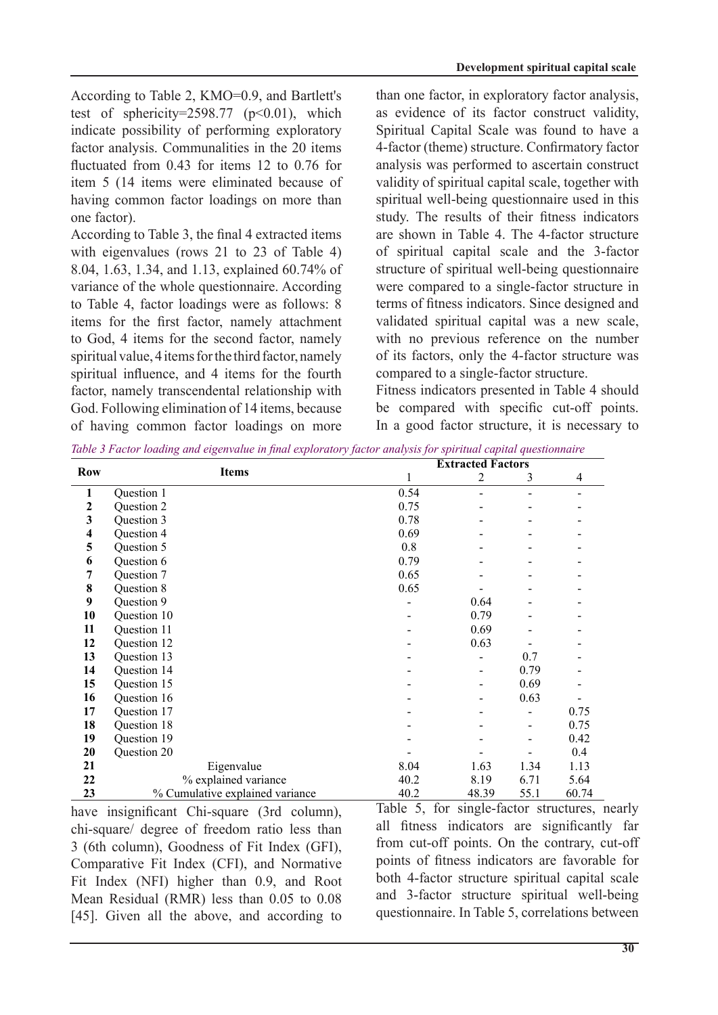According to Table 2, KMO=0.9, and Bartlett's test of sphericity=2598.77 ( $p<0.01$ ), which indicate possibility of performing exploratory factor analysis. Communalities in the 20 items fluctuated from  $0.43$  for items 12 to  $0.76$  for item 5 (14 items were eliminated because of having common factor loadings on more than one factor).

According to Table 3, the final  $4$  extracted items with eigenvalues (rows  $21$  to  $23$  of Table 4) 8.04, 1.63, 1.34, and 1.13, explained 60.74% of variance of the whole questionnaire. According to Table 4, factor loadings were as follows: 8 items for the first factor, namely attachment to God, 4 items for the second factor, namely spiritual value, 4 items for the third factor, namely spiritual influence, and 4 items for the fourth factor, namely transcendental relationship with God. Following elimination of 14 items, because of having common factor loadings on more

than one factor, in exploratory factor analysis, as evidence of its factor construct validity, Spiritual Capital Scale was found to have a 4-factor (theme) structure. Confirmatory factor analysis was performed to ascertain construct validity of spiritual capital scale, together with spiritual well-being questionnaire used in this study. The results of their fitness indicators are shown in Table 4. The 4-factor structure of spiritual capital scale and the 3-factor structure of spiritual well-being questionnaire were compared to a single-factor structure in terms of fitness indicators. Since designed and validated spiritual capital was a new scale, with no previous reference on the number of its factors, only the 4-factor structure was compared to a single-factor structure.

Fitness indicators presented in Table 4 should be compared with specific cut-off points. In a good factor structure, it is necessary to

| <b>Row</b>              |                                 |      | <b>Extracted Factors</b> |      |                |  |  |
|-------------------------|---------------------------------|------|--------------------------|------|----------------|--|--|
|                         | <b>Items</b>                    |      | $\overline{2}$           | 3    | $\overline{4}$ |  |  |
| $\mathbf{1}$            | Question 1                      | 0.54 |                          |      |                |  |  |
| $\boldsymbol{2}$        | Question 2                      | 0.75 |                          |      |                |  |  |
| $\mathbf{3}$            | Question 3                      | 0.78 |                          |      |                |  |  |
| $\overline{\mathbf{4}}$ | Question 4                      | 0.69 |                          |      |                |  |  |
| 5                       | Question 5                      | 0.8  |                          |      |                |  |  |
| 6                       | Question 6                      | 0.79 |                          |      |                |  |  |
| 7                       | Question 7                      | 0.65 |                          |      |                |  |  |
| $\bf 8$                 | Question 8                      | 0.65 |                          |      |                |  |  |
| $\boldsymbol{9}$        | Question 9                      |      | 0.64                     |      |                |  |  |
| 10                      | Question 10                     |      | 0.79                     |      |                |  |  |
| 11                      | Question 11                     |      | 0.69                     |      |                |  |  |
| 12                      | Question 12                     |      | 0.63                     |      |                |  |  |
| 13                      | Question 13                     |      |                          | 0.7  |                |  |  |
| 14                      | Question 14                     |      |                          | 0.79 |                |  |  |
| 15                      | Question 15                     |      |                          | 0.69 |                |  |  |
| 16                      | Question 16                     |      |                          | 0.63 |                |  |  |
| 17                      | Question 17                     |      |                          |      | 0.75           |  |  |
| 18                      | Question 18                     |      |                          |      | 0.75           |  |  |
| 19                      | Question 19                     |      |                          |      | 0.42           |  |  |
| 20                      | Question 20                     |      |                          |      | 0.4            |  |  |
| 21                      | Eigenvalue                      | 8.04 | 1.63                     | 1.34 | 1.13           |  |  |
| 22                      | % explained variance            | 40.2 | 8.19                     | 6.71 | 5.64           |  |  |
| 23                      | % Cumulative explained variance | 40.2 | 48.39                    | 55.1 | 60.74          |  |  |

*diable 3 Factor loading and eigenvalue in final exploratory factor analysis for spiritual capital auestionnaire* 

have insignificant Chi-square (3rd column), chi-square/ degree of freedom ratio less than 3 (6th column), Goodness of Fit Index (GFI), Comparative Fit Index (CFI), and Normative Fit Index (NFI) higher than  $0.9$ , and Root Mean Residual (RMR) less than  $0.05$  to  $0.08$ [45]. Given all the above, and according to

Table 5, for single-factor structures, nearly all fitness indicators are significantly far from cut-off points. On the contrary, cut-off points of fitness indicators are favorable for both 4-factor structure spiritual capital scale and 3-factor structure spiritual well-being questionnaire. In Table 5, correlations between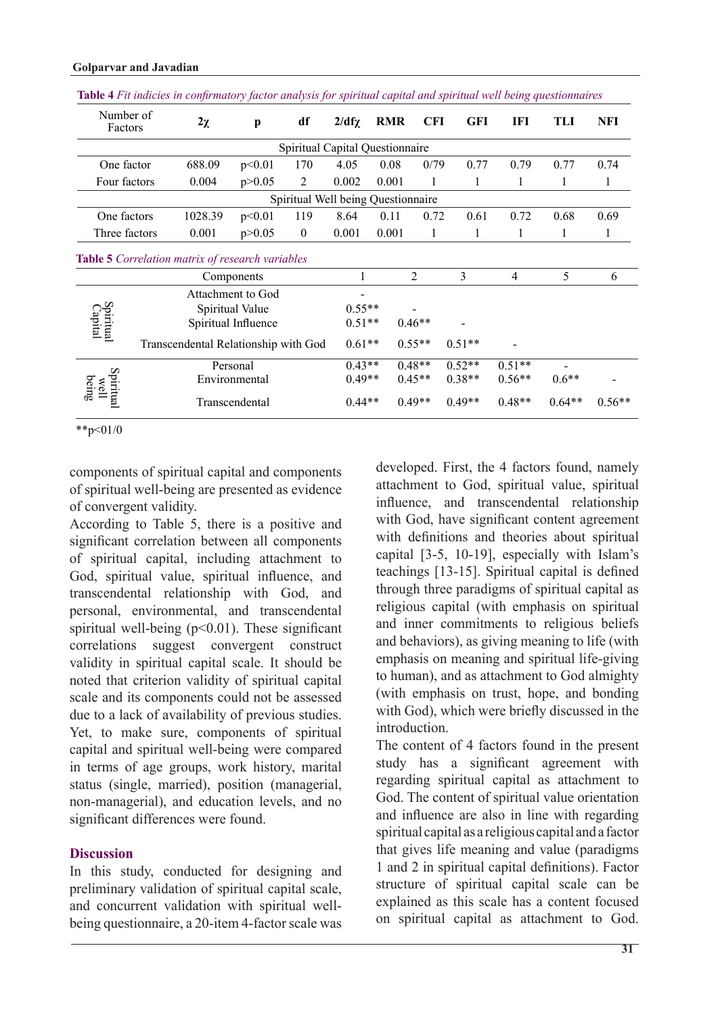| Number of<br>Factors       |  | $2\chi$                                          | $\mathbf{p}$      | df                                 | $2/df\chi$ | <b>RMR</b> | <b>CFI</b>     | <b>GFI</b> | IFI            | TLI     | <b>NFI</b> |
|----------------------------|--|--------------------------------------------------|-------------------|------------------------------------|------------|------------|----------------|------------|----------------|---------|------------|
|                            |  |                                                  |                   | Spiritual Capital Questionnaire    |            |            |                |            |                |         |            |
| One factor                 |  | 688.09                                           | p<0.01            | 170                                | 4.05       | 0.08       | 0/79           | 0.77       | 0.79           | 0.77    | 0.74       |
| Four factors               |  | 0.004                                            | p > 0.05          | 2                                  | 0.002      | 0.001      | 1              | 1          | 1              | 1       | 1          |
|                            |  |                                                  |                   | Spiritual Well being Questionnaire |            |            |                |            |                |         |            |
| One factors                |  | 1028.39                                          | p<0.01            | 119                                | 8.64       | 0.11       | 0.72           | 0.61       | 0.72           | 0.68    | 0.69       |
| Three factors              |  | 0.001                                            | p > 0.05          | $\mathbf{0}$                       | 0.001      | 0.001      | 1              | 1          | 1              | 1       | 1          |
|                            |  | Table 5 Correlation matrix of research variables |                   |                                    |            |            |                |            |                |         |            |
|                            |  |                                                  | Components        |                                    |            |            | $\overline{2}$ | 3          | $\overline{4}$ | 5       | 6          |
|                            |  |                                                  | Attachment to God |                                    |            |            |                |            |                |         |            |
|                            |  | Spiritual Value                                  |                   |                                    | $0.55**$   |            |                |            |                |         |            |
| Spiritual<br>Capital       |  | Spiritual Influence                              |                   | $0.51**$                           |            | $0.46**$   |                |            |                |         |            |
|                            |  | Transcendental Relationship with God             |                   | $0.61**$                           |            | $0.55**$   | $0.51**$       |            |                |         |            |
| Spiritual<br>being<br>well |  |                                                  | Personal          |                                    | $0.43**$   |            | $0.48**$       | $0.52**$   | $0.51**$       |         |            |
|                            |  |                                                  | Environmental     |                                    | $0.49**$   |            | $0.45**$       | $0.38**$   | $0.56**$       | $0.6**$ |            |
|                            |  | Transcendental                                   |                   |                                    |            |            |                |            |                |         |            |

#### **Golparvar** and Javadian

 $*$ \*p<01/0

components of spiritual capital and components of spiritual well-being are presented as evidence of convergent validity.

According to Table 5, there is a positive and significant correlation between all components of spiritual capital, including attachment to God, spiritual value, spiritual influence, and transcendental relationship with God, and personal, environmental, and transcendental spiritual well-being ( $p<0.01$ ). These significant correlations suggest convergent construct validity in spiritual capital scale. It should be noted that criterion validity of spiritual capital scale and its components could not be assessed due to a lack of availability of previous studies. Yet, to make sure, components of spiritual capital and spiritual well-being were compared in terms of age groups, work history, marital status (single, married), position (managerial, non-managerial), and education levels, and no significant differences were found.

### **Discussion**

In this study, conducted for designing and preliminary validation of spiritual capital scale, being questionnaire, a 20-item 4-factor scale was and concurrent validation with spiritual welldeveloped. First, the 4 factors found, namely attachment to God, spiritual value, spiritual influence, and transcendental relationship with God, have significant content agreement with definitions and theories about spiritual capital  $[3-5, 10-19]$ , especially with Islam's teachings  $[13-15]$ . Spiritual capital is defined through three paradigms of spiritual capital as religious capital (with emphasis on spiritual and inner commitments to religious beliefs and behaviors), as giving meaning to life (with emphasis on meaning and spiritual life-giving to human), and as attachment to God almighty (with emphasis on trust, hope, and bonding with God), which were briefly discussed in the .introduction

The content of 4 factors found in the present study has a significant agreement with regarding spiritual capital as attachment to God. The content of spiritual value orientation and influence are also in line with regarding spiritual capital as a religious capital and a factor that gives life meaning and value (paradigms 1 and 2 in spiritual capital definitions). Factor structure of spiritual capital scale can be explained as this scale has a content focused on spiritual capital as attachment to God.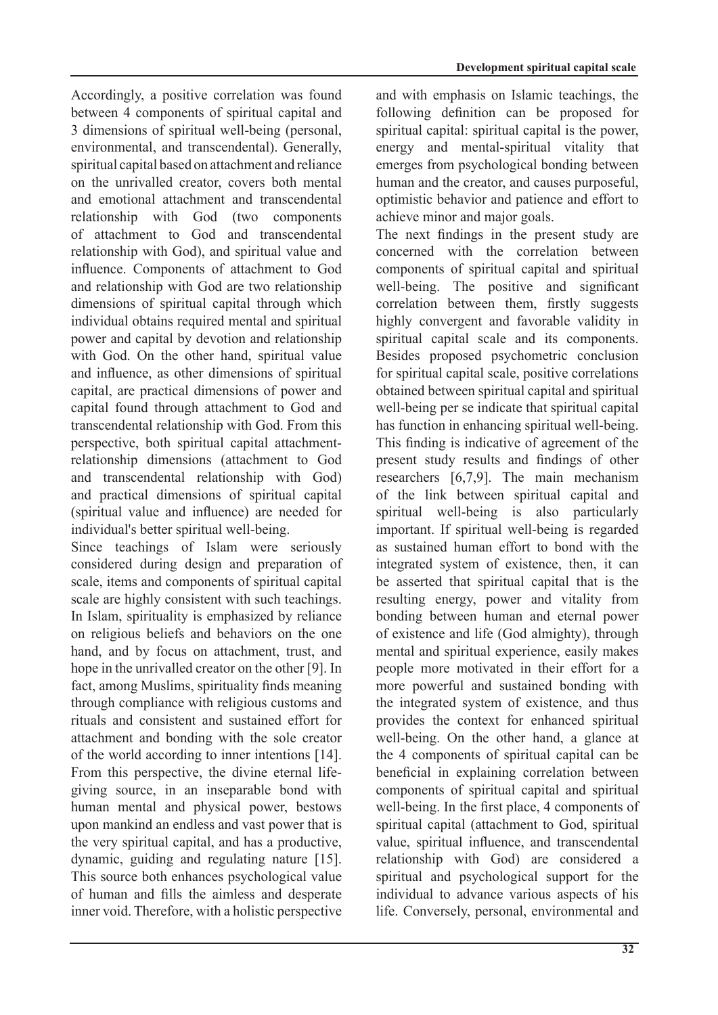Accordingly, a positive correlation was found between 4 components of spiritual capital and 3 dimensions of spiritual well-being (personal, environmental, and transcendental). Generally, spiritual capital based on attachment and reliance on the unrivalled creator, covers both mental and emotional attachment and transcendental relationship with God (two components of attachment to God and transcendental relationship with God), and spiritual value and influence. Components of attachment to God and relationship with God are two relationship dimensions of spiritual capital through which individual obtains required mental and spiritual power and capital by devotion and relationship with God. On the other hand, spiritual value and influence, as other dimensions of spiritual capital, are practical dimensions of power and capital found through attachment to God and transcendental relationship with God. From this relationship dimensions (attachment to God perspective, both spiritual capital attachmentand transcendental relationship with God) and practical dimensions of spiritual capital (spiritual value and influence) are needed for individual's better spiritual well-being.

Since teachings of Islam were seriously considered during design and preparation of scale, items and components of spiritual capital scale are highly consistent with such teachings. In Islam, spirituality is emphasized by reliance on religious beliefs and behaviors on the one hand, and by focus on attachment, trust, and hope in the unrivalled creator on the other [9]. In fact, among Muslims, spirituality finds meaning through compliance with religious customs and rituals and consistent and sustained effort for attachment and bonding with the sole creator of the world according to inner intentions  $[14]$ . giving source, in an inseparable bond with From this perspective, the divine eternal lifehuman mental and physical power, bestows upon mankind an endless and vast power that is the very spiritual capital, and has a productive,  $d$ ynamic, guiding and regulating nature  $[15]$ . This source both enhances psychological value of human and fills the aimless and desperate inner void. Therefore, with a holistic perspective and with emphasis on Islamic teachings, the following definition can be proposed for spiritual capital: spiritual capital is the power, energy and mental-spiritual vitality that emerges from psychological bonding between human and the creator, and causes purposeful. optimistic behavior and patience and effort to achieve minor and major goals.

The next findings in the present study are concerned with the correlation between components of spiritual capital and spiritual well-being. The positive and significant correlation between them, firstly suggests highly convergent and favorable validity in spiritual capital scale and its components. Besides proposed psychometric conclusion for spiritual capital scale, positive correlations obtained between spiritual capital and spiritual well-being per se indicate that spiritual capital has function in enhancing spiritual well-being. This finding is indicative of agreement of the present study results and findings of other researchers  $[6,7,9]$ . The main mechanism of the link between spiritual capital and spiritual well-being is also particularly important. If spiritual well-being is regarded as sustained human effort to bond with the integrated system of existence, then, it can be asserted that spiritual capital that is the resulting energy, power and vitality from bonding between human and eternal power of existence and life (God almighty), through mental and spiritual experience, easily makes people more motivated in their effort for a more powerful and sustained bonding with the integrated system of existence, and thus provides the context for enhanced spiritual well-being. On the other hand, a glance at the 4 components of spiritual capital can be beneficial in explaining correlation between components of spiritual capital and spiritual well-being. In the first place, 4 components of spiritual capital (attachment to God, spiritual value, spiritual influence, and transcendental relationship with God) are considered a spiritual and psychological support for the individual to advance various aspects of his life. Conversely, personal, environmental and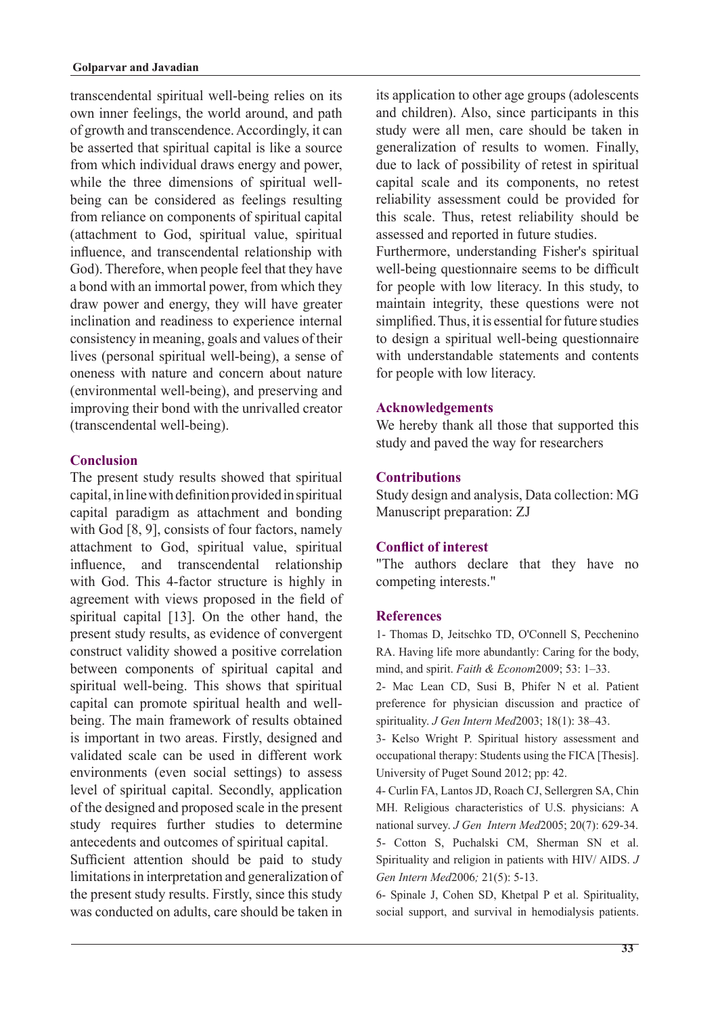transcendental spiritual well-being relies on its own inner feelings, the world around, and path of growth and transcendence. Accordingly, it can be asserted that spiritual capital is like a source from which individual draws energy and power, being can be considered as feelings resulting while the three dimensions of spiritual wellfrom reliance on components of spiritual capital (attachment to God, spiritual value, spiritual influence, and transcendental relationship with God). Therefore, when people feel that they have a bond with an immortal power, from which they draw power and energy, they will have greater inclination and readiness to experience internal consistency in meaning, goals and values of their lives (personal spiritual well-being), a sense of oneness with nature and concern about nature (environmental well-being), and preserving and improving their bond with the unrivalled creator (transcendental well-being).

## **Conclusion**

The present study results showed that spiritual capital, in line with definition provided in spiritual capital paradigm as attachment and bonding with God  $[8, 9]$ , consists of four factors, namely attachment to God, spiritual value, spiritual influence, and transcendental relationship with God. This 4-factor structure is highly in agreement with views proposed in the field of spiritual capital  $[13]$ . On the other hand, the present study results, as evidence of convergent construct validity showed a positive correlation between components of spiritual capital and spiritual well-being. This shows that spiritual being. The main framework of results obtained capital can promote spiritual health and wellis important in two areas. Firstly, designed and validated scale can be used in different work environments (even social settings) to assess level of spiritual capital. Secondly, application of the designed and proposed scale in the present study requires further studies to determine antecedents and outcomes of spiritual capital. Sufficient attention should be paid to study limitations in interpretation and generalization of the present study results. Firstly, since this study was conducted on adults, care should be taken in

its application to other age groups (adolescents and children). Also, since participants in this study were all men, care should be taken in generalization of results to women. Finally, due to lack of possibility of retest in spiritual capital scale and its components, no retest reliability assessment could be provided for this scale. Thus, retest reliability should be assessed and reported in future studies.

Furthermore, understanding Fisher's spiritual well-being questionnaire seems to be difficult for people with low literacy. In this study, to maintain integrity, these questions were not simplified. Thus, it is essential for future studies to design a spiritual well-being questionnaire with understandable statements and contents for people with low literacy.

## **Acknowledgements**

We hereby thank all those that supported this study and paved the way for researchers

# **Contributions**

Study design and analysis, Data collection: MG Manuscript preparation: ZJ

# **Conflict of interest**

"The authors declare that they have no competing interests."

### **References**

1- Thomas D, Jeitschko TD, O'Connell S, Pecchenino RA. Having life more abundantly: Caring for the body, mind, and spirit. *Faith & Econom* 2009; 53: 1-33.

2- Mac Lean CD, Susi B, Phifer N et al. Patient preference for physician discussion and practice of spirituality. *J Gen Intern Med* 2003: 18(1): 38–43.

3- Kelso Wright P. Spiritual history assessment and occupational therapy: Students using the FICA [Thesis]. University of Puget Sound 2012; pp: 42.

4- Curlin FA, Lantos JD, Roach CJ, Sellergren SA, Chin MH. Religious characteristics of U.S. physicians: A national survey. *J Gen Intern Med* 2005; 20(7): 629-34. 5- Cotton S, Puchalski CM, Sherman SN et al. Spirituality and religion in patients with HIV/ AIDS. J Gen Intern Med 2006; 21(5): 5-13.

6- Spinale J, Cohen SD, Khetpal P et al. Spirituality, social support, and survival in hemodialysis patients.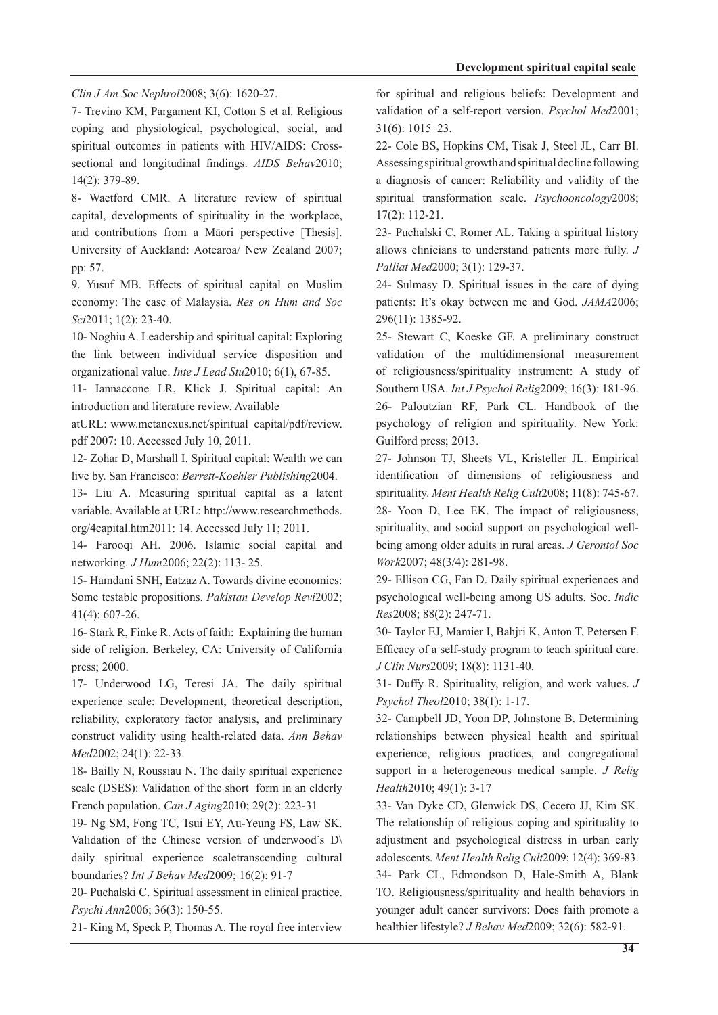Clin J Am Soc Nephrol 2008; 3(6): 1620-27.

7- Trevino KM, Pargament KI, Cotton S et al. Religious coping and physiological, psychological, social, and sectional and longitudinal findings. AIDS Behav2010; spiritual outcomes in patients with HIV/AIDS: Cross- $14(2)$ : 379-89.

8- Waetford CMR. A literature review of spiritual capital, developments of spirituality in the workplace, and contributions from a Māori perspective [Thesis]. University of Auckland: Aotearoa/ New Zealand 2007; pp: 57.

9. Yusuf MB. Effects of spiritual capital on Muslim economy: The case of Malaysia. Res on Hum and Soc Sci2011; 1(2): 23-40.

10- Noghiu A. Leadership and spiritual capital: Exploring the link between individual service disposition and organizational value. *Inte J Lead Stu* 2010; 6(1), 67-85.

11- Iannaccone LR, Klick J. Spiritual capital: An introduction and literature review. Available

atURL: www.metanexus.net/spiritual\_capital/pdf/review. pdf 2007: 10. Accessed July 10, 2011.

12- Zohar D, Marshall I. Spiritual capital: Wealth we can live by. San Francisco: Berrett-Koehler Publishing 2004.

13- Liu A. Measuring spiritual capital as a latent variable. Available at URL: http://www.researchmethods.  $org/4 capital.htm2011$ : 14. Accessed July 11; 2011.

14- Farooqi AH. 2006. Islamic social capital and networking. *J Hum* 2006; 22(2): 113-25.

15- Hamdani SNH, Eatzaz A. Towards divine economics: Some testable propositions. Pakistan Develop Revi2002;  $41(4)$ : 607-26.

16- Stark R, Finke R. Acts of faith: Explaining the human side of religion. Berkeley, CA: University of California press; 2000.

17- Underwood LG, Teresi JA. The daily spiritual experience scale: Development, theoretical description, reliability, exploratory factor analysis, and preliminary construct validity using health-related data. Ann Behav Med<sub>2002</sub>; 24(1): 22-33.

18- Bailly N, Roussiau N. The daily spiritual experience scale (DSES): Validation of the short form in an elderly French population. *Can J Aging* 2010; 29(2): 223-31

19- Ng SM, Fong TC, Tsui EY, Au-Yeung FS, Law SK. Validation of the Chinese version of underwood's  $D\$ daily spiritual experience scaletranscending cultural boundaries? Int J Behav Med 2009; 16(2): 91-7

20- Puchalski C. Spiritual assessment in clinical practice. Psychi Ann 2006; 36(3): 150-55.

21- King M, Speck P, Thomas A. The royal free interview

for spiritual and religious beliefs: Development and validation of a self-report version. Psychol Med2001;  $31(6): 1015 - 23.$ 

22- Cole BS, Hopkins CM, Tisak J, Steel JL, Carr BI. Assessing spiritual growth and spiritual decline following a diagnosis of cancer: Reliability and validity of the spiritual transformation scale. *Psychooncology* 2008;  $17(2): 112-21.$ 

23- Puchalski C, Romer AL. Taking a spiritual history allows clinicians to understand patients more fully. J Palliat Med 2000; 3(1): 129-37.

 $24$ - Sulmasy D. Spiritual issues in the care of dying patients: It's okay between me and God.  $JAMA2006$ ; 296(11): 1385-92.

25- Stewart C, Koeske GF. A preliminary construct validation of the multidimensional measurement of religiousness/spirituality instrument: A study of Southern USA. Int *J Psychol Relig* 2009; 16(3): 181-96. 26- Paloutzian RF, Park CL. Handbook of the psychology of religion and spirituality. New York: Guilford press; 2013.

27- Johnson TJ, Sheets VL, Kristeller JL. Empirical identification of dimensions of religiousness and spirituality. Ment Health Relig Cult2008; 11(8): 745-67. 28- Yoon D, Lee EK. The impact of religiousness, being among older adults in rural areas. *J Gerontol Soc* spirituality, and social support on psychological well-*Work*2007: 48(3/4): 281-98.

29- Ellison CG, Fan D. Daily spiritual experiences and psychological well-being among US adults. Soc. *Indic* Res2008: 88(2): 247-71.

30- Taylor EJ, Mamier I, Bahjri K, Anton T, Petersen F. Efficacy of a self-study program to teach spiritual care. J Clin Nurs 2009; 18(8): 1131-40.

31- Duffy R. Spirituality, religion, and work values. J Psychol Theol<sup>2010</sup>; 38(1): 1-17.

32- Campbell JD, Yoon DP, Johnstone B. Determining relationships between physical health and spiritual experience, religious practices, and congregational support in a heterogeneous medical sample. *J Relig* Health<sub>2010</sub>: 49(1): 3-17

33- Van Dyke CD, Glenwick DS, Cecero JJ, Kim SK. The relationship of religious coping and spirituality to adjustment and psychological distress in urban early adolescents. Ment Health Relig Cult2009; 12(4): 369-83. 34- Park CL, Edmondson D, Hale-Smith A, Blank TO. Religiousness/spirituality and health behaviors in vounger adult cancer survivors: Does faith promote a healthier lifestyle? *J Behav Med* 2009; 32(6): 582-91.